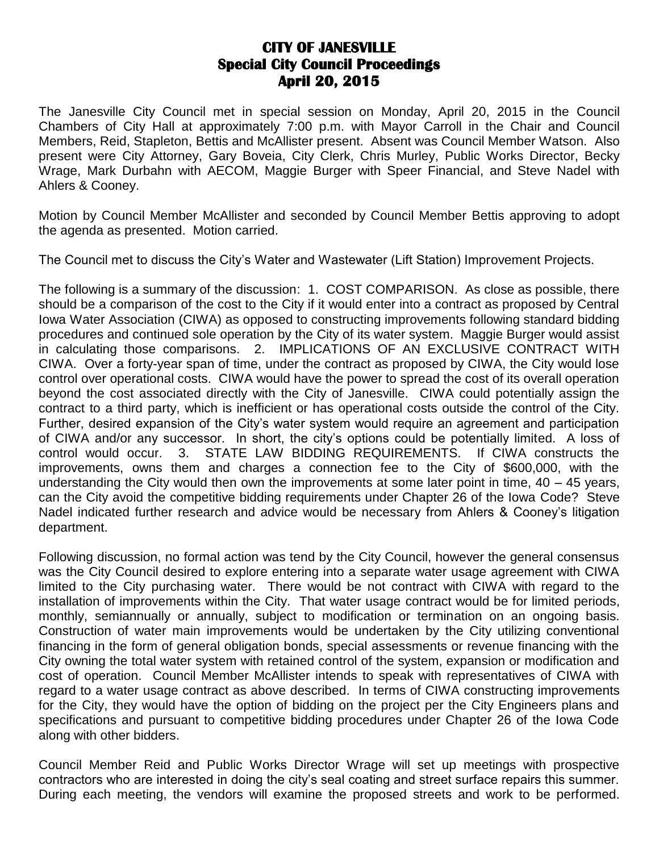## **CITY OF JANESVILLE Special City Council Proceedings April 20, 2015**

The Janesville City Council met in special session on Monday, April 20, 2015 in the Council Chambers of City Hall at approximately 7:00 p.m. with Mayor Carroll in the Chair and Council Members, Reid, Stapleton, Bettis and McAllister present. Absent was Council Member Watson. Also present were City Attorney, Gary Boveia, City Clerk, Chris Murley, Public Works Director, Becky Wrage, Mark Durbahn with AECOM, Maggie Burger with Speer Financial, and Steve Nadel with Ahlers & Cooney.

Motion by Council Member McAllister and seconded by Council Member Bettis approving to adopt the agenda as presented. Motion carried.

The Council met to discuss the City's Water and Wastewater (Lift Station) Improvement Projects.

The following is a summary of the discussion: 1. COST COMPARISON. As close as possible, there should be a comparison of the cost to the City if it would enter into a contract as proposed by Central Iowa Water Association (CIWA) as opposed to constructing improvements following standard bidding procedures and continued sole operation by the City of its water system. Maggie Burger would assist in calculating those comparisons. 2. IMPLICATIONS OF AN EXCLUSIVE CONTRACT WITH CIWA. Over a forty-year span of time, under the contract as proposed by CIWA, the City would lose control over operational costs. CIWA would have the power to spread the cost of its overall operation beyond the cost associated directly with the City of Janesville. CIWA could potentially assign the contract to a third party, which is inefficient or has operational costs outside the control of the City. Further, desired expansion of the City's water system would require an agreement and participation of CIWA and/or any successor. In short, the city's options could be potentially limited. A loss of control would occur. 3. STATE LAW BIDDING REQUIREMENTS. If CIWA constructs the improvements, owns them and charges a connection fee to the City of \$600,000, with the understanding the City would then own the improvements at some later point in time,  $40 - 45$  years, can the City avoid the competitive bidding requirements under Chapter 26 of the Iowa Code? Steve Nadel indicated further research and advice would be necessary from Ahlers & Cooney's litigation department.

Following discussion, no formal action was tend by the City Council, however the general consensus was the City Council desired to explore entering into a separate water usage agreement with CIWA limited to the City purchasing water. There would be not contract with CIWA with regard to the installation of improvements within the City. That water usage contract would be for limited periods, monthly, semiannually or annually, subject to modification or termination on an ongoing basis. Construction of water main improvements would be undertaken by the City utilizing conventional financing in the form of general obligation bonds, special assessments or revenue financing with the City owning the total water system with retained control of the system, expansion or modification and cost of operation. Council Member McAllister intends to speak with representatives of CIWA with regard to a water usage contract as above described. In terms of CIWA constructing improvements for the City, they would have the option of bidding on the project per the City Engineers plans and specifications and pursuant to competitive bidding procedures under Chapter 26 of the Iowa Code along with other bidders.

Council Member Reid and Public Works Director Wrage will set up meetings with prospective contractors who are interested in doing the city's seal coating and street surface repairs this summer. During each meeting, the vendors will examine the proposed streets and work to be performed.